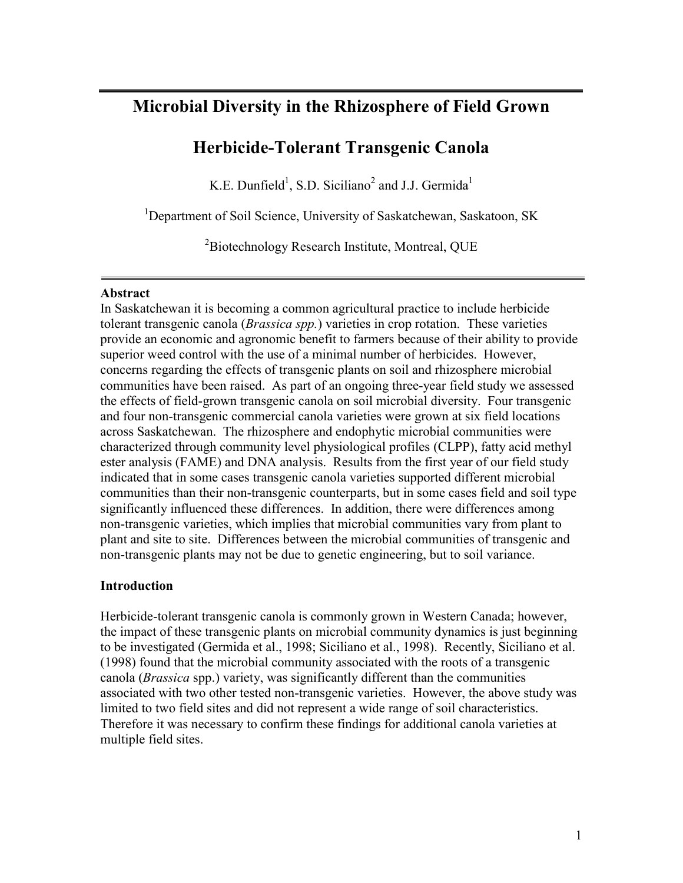# **Microbial Diversity in the Rhizosphere of Field Grown**

# **Herbicide-Tolerant Transgenic Canola**

K.E. Dunfield<sup>1</sup>, S.D. Siciliano<sup>2</sup> and J.J. Germida<sup>1</sup>

<sup>1</sup>Department of Soil Science, University of Saskatchewan, Saskatoon, SK

<sup>2</sup> Biotechnology Research Institute, Montreal, QUE

#### **Abstract**

In Saskatchewan it is becoming a common agricultural practice to include herbicide tolerant transgenic canola (*Brassica spp.*) varieties in crop rotation. These varieties provide an economic and agronomic benefit to farmers because of their ability to provide superior weed control with the use of a minimal number of herbicides. However, concerns regarding the effects of transgenic plants on soil and rhizosphere microbial communities have been raised. As part of an ongoing three-year field study we assessed the effects of field-grown transgenic canola on soil microbial diversity. Four transgenic and four non-transgenic commercial canola varieties were grown at six field locations across Saskatchewan. The rhizosphere and endophytic microbial communities were characterized through community level physiological profiles (CLPP), fatty acid methyl ester analysis (FAME) and DNA analysis. Results from the first year of our field study indicated that in some cases transgenic canola varieties supported different microbial communities than their non-transgenic counterparts, but in some cases field and soil type significantly influenced these differences. In addition, there were differences among non-transgenic varieties, which implies that microbial communities vary from plant to plant and site to site. Differences between the microbial communities of transgenic and non-transgenic plants may not be due to genetic engineering, but to soil variance.

## **Introduction**

Herbicide-tolerant transgenic canola is commonly grown in Western Canada; however, the impact of these transgenic plants on microbial community dynamics is just beginning to be investigated (Germida et al., 1998; Siciliano et al., 1998). Recently, Siciliano et al. (1998) found that the microbial community associated with the roots of a transgenic canola (*Brassica* spp.) variety, was significantly different than the communities associated with two other tested non-transgenic varieties. However, the above study was limited to two field sites and did not represent a wide range of soil characteristics. Therefore it was necessary to confirm these findings for additional canola varieties at multiple field sites.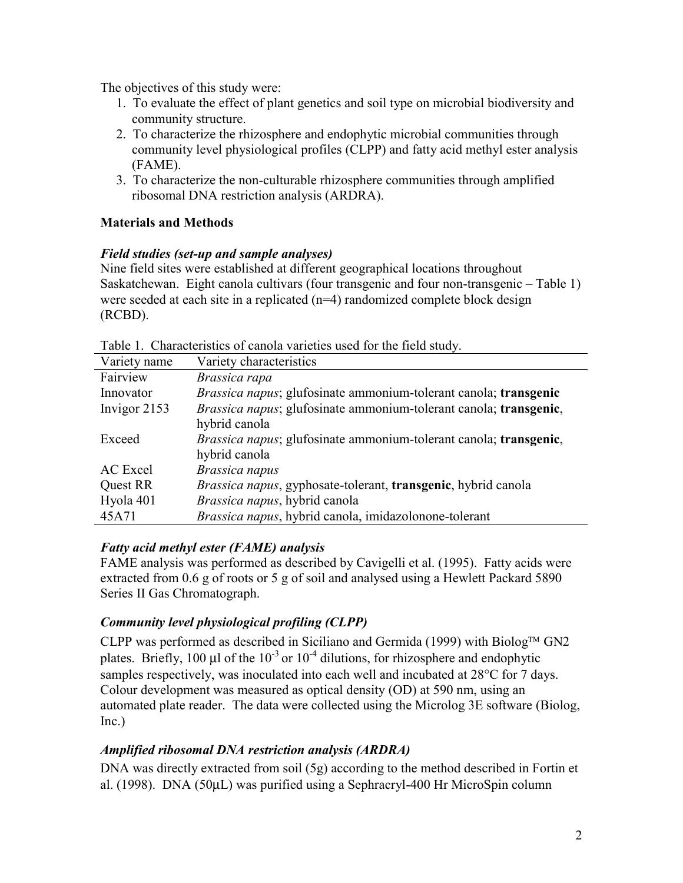The objectives of this study were:

- 1. To evaluate the effect of plant genetics and soil type on microbial biodiversity and community structure.
- 2. To characterize the rhizosphere and endophytic microbial communities through community level physiological profiles (CLPP) and fatty acid methyl ester analysis (FAME).
- 3. To characterize the non-culturable rhizosphere communities through amplified ribosomal DNA restriction analysis (ARDRA).

### **Materials and Methods**

### *Field studies (set-up and sample analyses)*

Nine field sites were established at different geographical locations throughout Saskatchewan. Eight canola cultivars (four transgenic and four non-transgenic – Table 1) were seeded at each site in a replicated (n=4) randomized complete block design (RCBD).

| Characteriotres of canona (arretres ascer for the frence state). |                                                                               |
|------------------------------------------------------------------|-------------------------------------------------------------------------------|
| Variety name                                                     | Variety characteristics                                                       |
| Fairview                                                         | Brassica rapa                                                                 |
| Innovator                                                        | <i>Brassica napus</i> ; glufosinate ammonium-tolerant canola; transgenic      |
| Invigor 2153                                                     | Brassica napus; glufosinate ammonium-tolerant canola; transgenic,             |
|                                                                  | hybrid canola                                                                 |
| Exceed                                                           | <i>Brassica napus</i> ; glufosinate ammonium-tolerant canola; transgenic,     |
|                                                                  | hybrid canola                                                                 |
| AC Excel                                                         | Brassica napus                                                                |
| Quest RR                                                         | <i>Brassica napus</i> , gyphosate-tolerant, <b>transgenic</b> , hybrid canola |
| Hyola 401                                                        | Brassica napus, hybrid canola                                                 |
| 45A71                                                            | Brassica napus, hybrid canola, imidazolonone-tolerant                         |

Table 1. Characteristics of canola varieties used for the field study.

## *Fatty acid methyl ester (FAME) analysis*

FAME analysis was performed as described by Cavigelli et al. (1995). Fatty acids were extracted from 0.6 g of roots or 5 g of soil and analysed using a Hewlett Packard 5890 Series II Gas Chromatograph.

# *Community level physiological profiling (CLPP)*

CLPP was performed as described in Siciliano and Germida (1999) with Biolog<sup>TM</sup> GN2 plates. Briefly, 100  $\mu$ l of the 10<sup>-3</sup> or 10<sup>-4</sup> dilutions, for rhizosphere and endophytic samples respectively, was inoculated into each well and incubated at 28<sup>o</sup>C for 7 days. Colour development was measured as optical density (OD) at 590 nm, using an automated plate reader. The data were collected using the Microlog 3E software (Biolog, Inc.)

# *Amplified ribosomal DNA restriction analysis (ARDRA)*

DNA was directly extracted from soil (5g) according to the method described in Fortin et al. (1998). DNA (50µL) was purified using a Sephracryl-400 Hr MicroSpin column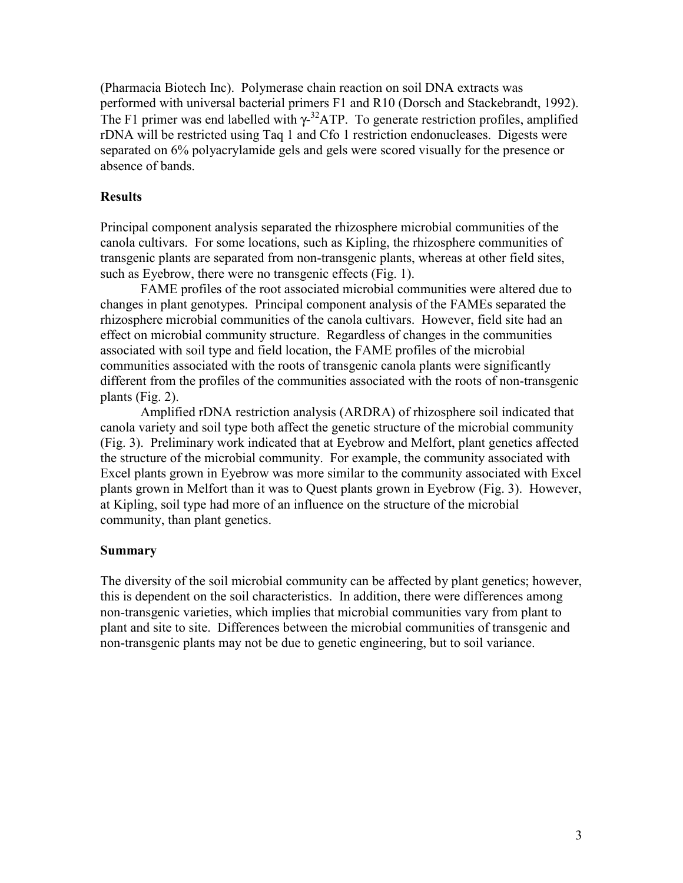(Pharmacia Biotech Inc). Polymerase chain reaction on soil DNA extracts was performed with universal bacterial primers F1 and R10 (Dorsch and Stackebrandt, 1992). The F1 primer was end labelled with  $\gamma$ <sup>32</sup>ATP. To generate restriction profiles, amplified rDNA will be restricted using Taq 1 and Cfo 1 restriction endonucleases. Digests were separated on 6% polyacrylamide gels and gels were scored visually for the presence or absence of bands.

### **Results**

Principal component analysis separated the rhizosphere microbial communities of the canola cultivars. For some locations, such as Kipling, the rhizosphere communities of transgenic plants are separated from non-transgenic plants, whereas at other field sites, such as Eyebrow, there were no transgenic effects (Fig. 1).

FAME profiles of the root associated microbial communities were altered due to changes in plant genotypes. Principal component analysis of the FAMEs separated the rhizosphere microbial communities of the canola cultivars. However, field site had an effect on microbial community structure. Regardless of changes in the communities associated with soil type and field location, the FAME profiles of the microbial communities associated with the roots of transgenic canola plants were significantly different from the profiles of the communities associated with the roots of non-transgenic plants (Fig. 2).

Amplified rDNA restriction analysis (ARDRA) of rhizosphere soil indicated that canola variety and soil type both affect the genetic structure of the microbial community (Fig. 3). Preliminary work indicated that at Eyebrow and Melfort, plant genetics affected the structure of the microbial community. For example, the community associated with Excel plants grown in Eyebrow was more similar to the community associated with Excel plants grown in Melfort than it was to Quest plants grown in Eyebrow (Fig. 3). However, at Kipling, soil type had more of an influence on the structure of the microbial community, than plant genetics.

### **Summary**

The diversity of the soil microbial community can be affected by plant genetics; however, this is dependent on the soil characteristics. In addition, there were differences among non-transgenic varieties, which implies that microbial communities vary from plant to plant and site to site. Differences between the microbial communities of transgenic and non-transgenic plants may not be due to genetic engineering, but to soil variance.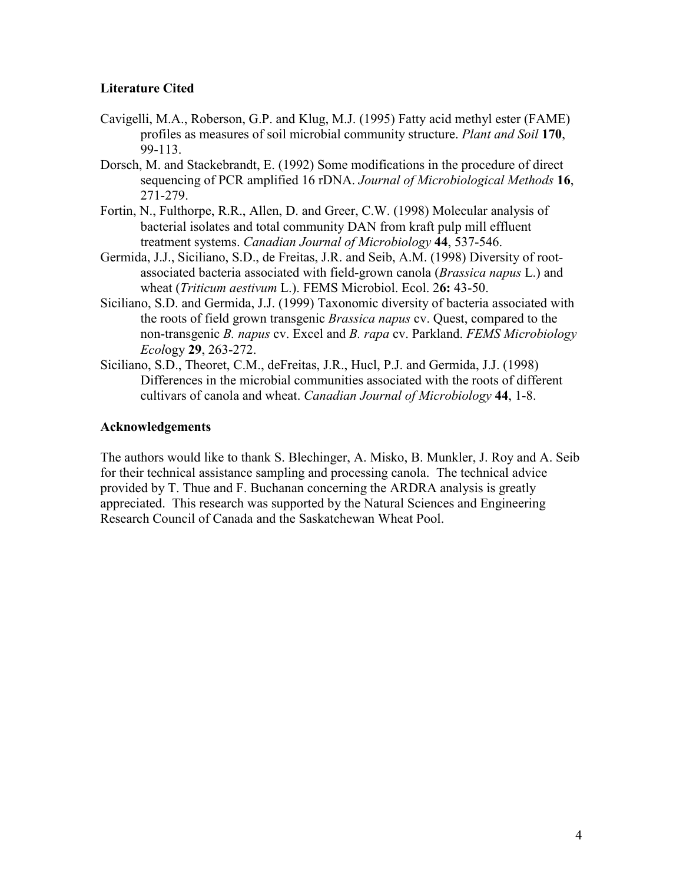### **Literature Cited**

- Cavigelli, M.A., Roberson, G.P. and Klug, M.J. (1995) Fatty acid methyl ester (FAME) profiles as measures of soil microbial community structure. *Plant and Soil* **170**, 99-113.
- Dorsch, M. and Stackebrandt, E. (1992) Some modifications in the procedure of direct sequencing of PCR amplified 16 rDNA. *Journal of Microbiological Methods* **16**, 271-279.
- Fortin, N., Fulthorpe, R.R., Allen, D. and Greer, C.W. (1998) Molecular analysis of bacterial isolates and total community DAN from kraft pulp mill effluent treatment systems. *Canadian Journal of Microbiology* **44**, 537-546.
- Germida, J.J., Siciliano, S.D., de Freitas, J.R. and Seib, A.M. (1998) Diversity of rootassociated bacteria associated with field-grown canola (*Brassica napus* L.) and wheat (*Triticum aestivum* L.). FEMS Microbiol. Ecol. 2**6:** 43-50.
- Siciliano, S.D. and Germida, J.J. (1999) Taxonomic diversity of bacteria associated with the roots of field grown transgenic *Brassica napus* cv. Quest, compared to the non-transgenic *B. napus* cv. Excel and *B. rapa* cv. Parkland. *FEMS Microbiology Ecol*ogy **29**, 263-272.
- Siciliano, S.D., Theoret, C.M., deFreitas, J.R., Hucl, P.J. and Germida, J.J. (1998) Differences in the microbial communities associated with the roots of different cultivars of canola and wheat. *Canadian Journal of Microbiology* **44**, 1-8.

#### **Acknowledgements**

The authors would like to thank S. Blechinger, A. Misko, B. Munkler, J. Roy and A. Seib for their technical assistance sampling and processing canola. The technical advice provided by T. Thue and F. Buchanan concerning the ARDRA analysis is greatly appreciated. This research was supported by the Natural Sciences and Engineering Research Council of Canada and the Saskatchewan Wheat Pool.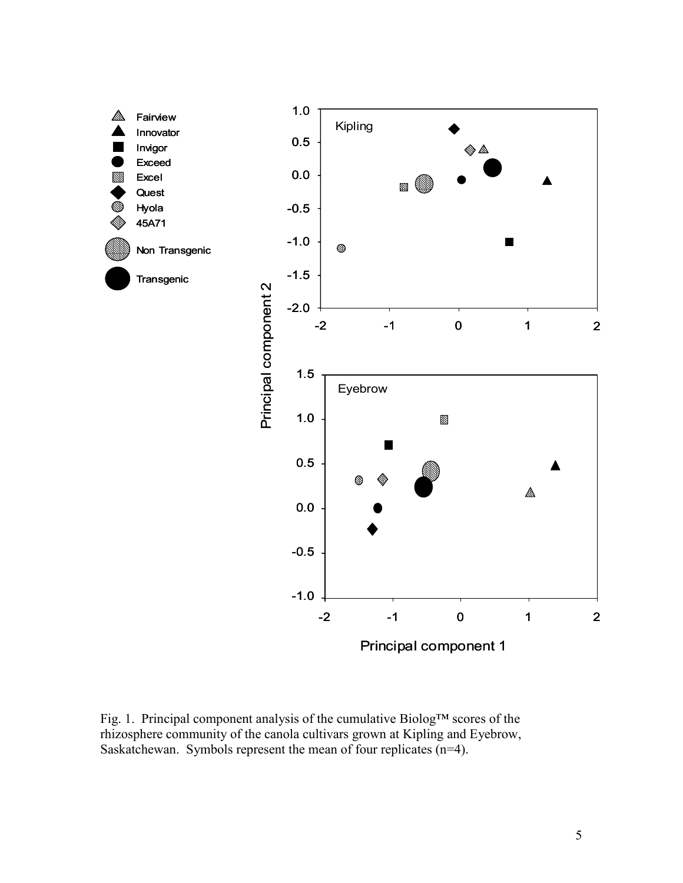

Fig. 1. Principal component analysis of the cumulative Biolog™ scores of the rhizosphere community of the canola cultivars grown at Kipling and Eyebrow, Saskatchewan. Symbols represent the mean of four replicates (n=4).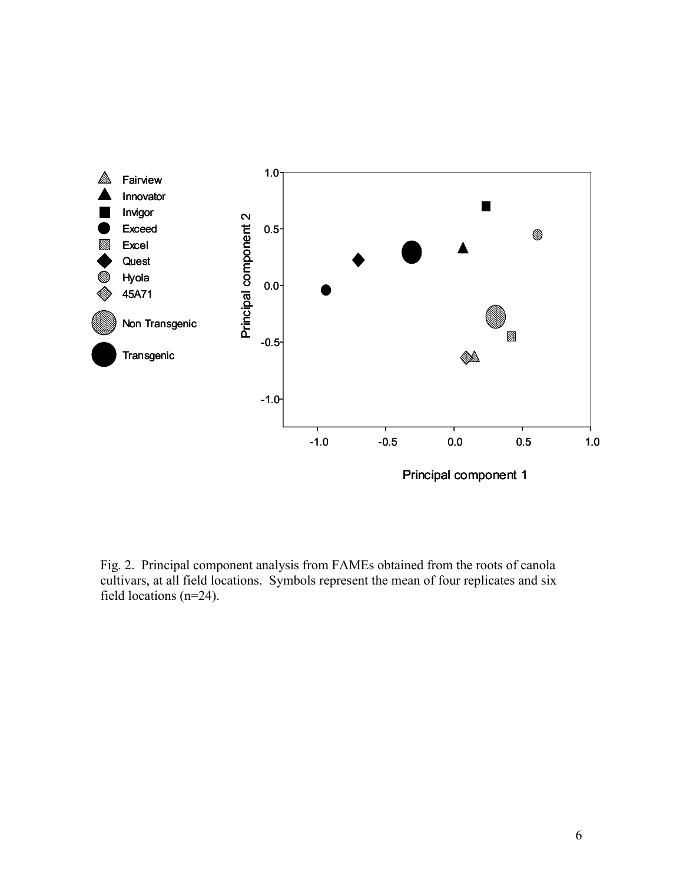

Fig. 2. Principal component analysis from FAMEs obtained from the roots of canola cultivars, at all field locations. Symbols represent the mean of four replicates and six field locations (n=24).